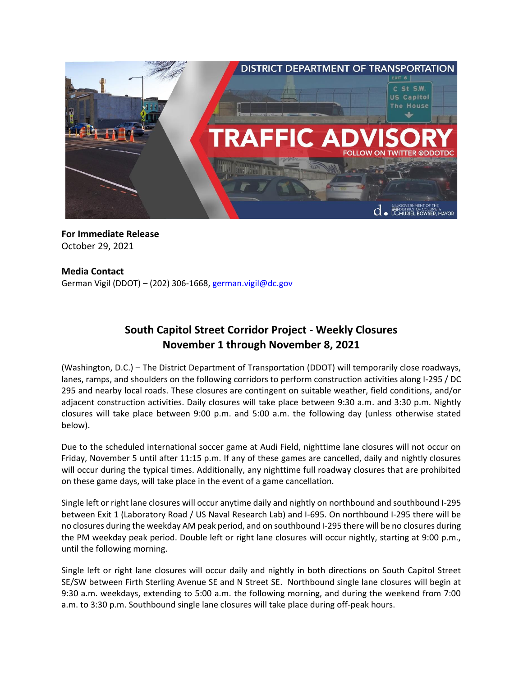

**For Immediate Release** October 29, 2021

## **Media Contact**

German Vigil (DDOT) – (202) 306-1668, [german.vigil@dc.gov](mailto:german.vigil@dc.gov)

## **South Capitol Street Corridor Project - Weekly Closures November 1 through November 8, 2021**

(Washington, D.C.) – The District Department of Transportation (DDOT) will temporarily close roadways, lanes, ramps, and shoulders on the following corridors to perform construction activities along I-295 / DC 295 and nearby local roads. These closures are contingent on suitable weather, field conditions, and/or adjacent construction activities. Daily closures will take place between 9:30 a.m. and 3:30 p.m. Nightly closures will take place between 9:00 p.m. and 5:00 a.m. the following day (unless otherwise stated below).

Due to the scheduled international soccer game at Audi Field, nighttime lane closures will not occur on Friday, November 5 until after 11:15 p.m. If any of these games are cancelled, daily and nightly closures will occur during the typical times. Additionally, any nighttime full roadway closures that are prohibited on these game days, will take place in the event of a game cancellation.

Single left or right lane closures will occur anytime daily and nightly on northbound and southbound I-295 between Exit 1 (Laboratory Road / US Naval Research Lab) and I-695. On northbound I-295 there will be no closures during the weekday AM peak period, and on southbound I-295 there will be no closures during the PM weekday peak period. Double left or right lane closures will occur nightly, starting at 9:00 p.m., until the following morning.

Single left or right lane closures will occur daily and nightly in both directions on South Capitol Street SE/SW between Firth Sterling Avenue SE and N Street SE. Northbound single lane closures will begin at 9:30 a.m. weekdays, extending to 5:00 a.m. the following morning, and during the weekend from 7:00 a.m. to 3:30 p.m. Southbound single lane closures will take place during off-peak hours.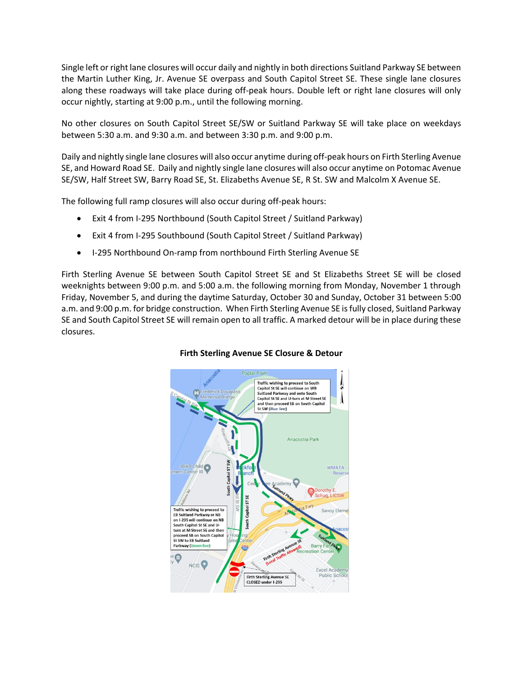Single left or right lane closures will occur daily and nightly in both directions Suitland Parkway SE between the Martin Luther King, Jr. Avenue SE overpass and South Capitol Street SE. These single lane closures along these roadways will take place during off-peak hours. Double left or right lane closures will only occur nightly, starting at 9:00 p.m., until the following morning.

No other closures on South Capitol Street SE/SW or Suitland Parkway SE will take place on weekdays between 5:30 a.m. and 9:30 a.m. and between 3:30 p.m. and 9:00 p.m.

Daily and nightly single lane closures will also occur anytime during off-peak hours on Firth Sterling Avenue SE, and Howard Road SE. Daily and nightly single lane closures will also occur anytime on Potomac Avenue SE/SW, Half Street SW, Barry Road SE, St. Elizabeths Avenue SE, R St. SW and Malcolm X Avenue SE.

The following full ramp closures will also occur during off-peak hours:

- Exit 4 from I-295 Northbound (South Capitol Street / Suitland Parkway)
- Exit 4 from I-295 Southbound (South Capitol Street / Suitland Parkway)
- I-295 Northbound On-ramp from northbound Firth Sterling Avenue SE

Firth Sterling Avenue SE between South Capitol Street SE and St Elizabeths Street SE will be closed weeknights between 9:00 p.m. and 5:00 a.m. the following morning from Monday, November 1 through Friday, November 5, and during the daytime Saturday, October 30 and Sunday, October 31 between 5:00 a.m. and 9:00 p.m. for bridge construction. When Firth Sterling Avenue SE is fully closed, Suitland Parkway SE and South Capitol Street SE will remain open to all traffic. A marked detour will be in place during these closures.



## **Firth Sterling Avenue SE Closure & Detour**